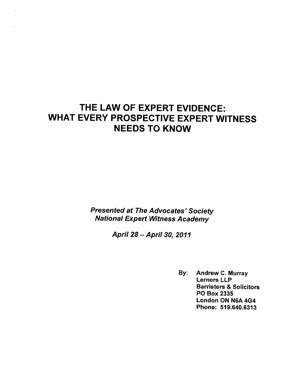# THE LAW OF EXPERT EVIDENCE: WHAT EVERY PROSPECTIVE EXPERT WITNESS NEEDS TO KNOW

Presented at The Advocates' Society National Expert Witness Academy

April 28 April 30, 2011

By: Andrew C. Murray Lerners LLP Barristers & Solicitors PO Box 2335 London ON N6A 4G4 Phone: 519.640.6313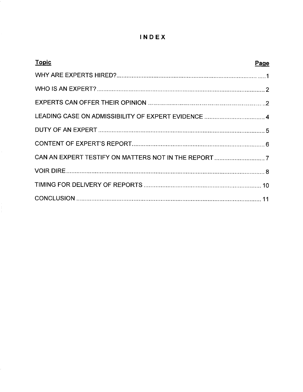# INDEX

| <b>Topic</b><br>Page |  |
|----------------------|--|
|                      |  |
|                      |  |
|                      |  |
|                      |  |
|                      |  |
|                      |  |
|                      |  |
|                      |  |
|                      |  |
|                      |  |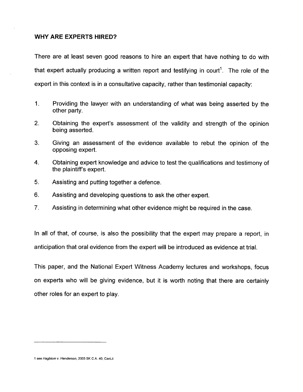# WHY ARE EXPERTS HIRED?

There are at least seven good reasons to hire an expert that have nothing to do with that expert actually producing a written report and testifying in court<sup>1</sup>. The role of the expert in this context is in a consultative capacity, rather than testimonial capacity:

- $1<sub>1</sub>$ Providing the lawyer with an understanding of what was being asserted by the other party.
- $2.$ Obtaining the expert's assessment of the validity and strength of the opinion being asserted.
- Giving an assessment of the evidence available to rebut the opinion of the  $3_{-}$  $S_{\text{r},\text{m},g}$  and  $S_{\text{r},g}$
- $\overline{4}$ . Obtaining expert knowledge and advice to test the qualifications and testimony of the plaintiff's expert.
- 5. Assisting and putting together a defence.
- $6.$ Assisting and developing questions to ask the other expert.
- $7<sub>1</sub>$ Assisting in determining what other evidence might be required in the case.

In all of that, of course, is also the possibility that the expert may prepare a report, in anticipation that oral evidence from the expert will be introduced as evidence at trial.

This paper, and the National Expert Witness Academy lectures and workshops, focus on experts who will be giving evidence, but it is worth noting that there are certainly other roles for an expert to play.

<sup>1</sup> see Hagblom v. Henderson, 2003 SK C.A. 40, CanLii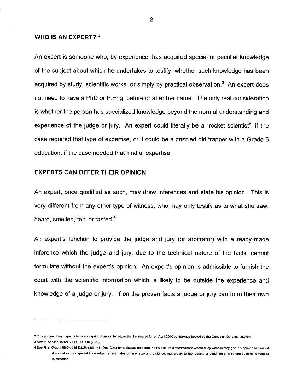# WHO IS AN EXPERT? <sup>2</sup>

An expert is someone who, by experience, has acquired special or peculiar knowledge of the subject about which he undertakes to testify, whether such knowledge has been acquired by study, scientific works, or simply by practical observation.<sup>3</sup> An expert does not need to have a PhD or P.Eng. before or after her name. The only real consideration is whether the person has specialized knowledge beyond the normal understanding and experience of the judge or jury. An expert could literally be a "rocket scientist", if the case required that type of expertise, or it could be a grizzled old trapper with a Grade 6 education, if the case needed that kind of expertise.

# EXPERTS CAN OFFER THEIR OPINION

An expert, once qualified as such, may draw inferences and state his opinion. This is very different from any other type of witness, who may only testify as to what she saw, heard, smelled, felt, or tasted.<sup>4</sup>

An expert's function to provide the judge and jury (or arbitrator) with a ready-made inference which the judge and jury, due to the technical nature of the facts, cannot formulate without the expert's opinion. An expert's opinion is admissible to furnish the court with the scientific information which is likely to be outside the experience and knowledge of a judge or jury. If on the proven facts a judge or jury can form their own

<sup>2</sup> This portion of my paper is largely a reprint of an earlier paper that I prepared for an April 2010 conference hosted by the Canadian Defence Lawyers. 3 Rice v. Socket (1912), 27 O.L.R. 410 (C.A.)

<sup>4</sup> See R. v. Graat (1980), 116 D.L.R. (3d) 143 (Ont. C.A.) for a discussion about the rare set of circumstances where a lay witness may give his opinion because it does not call for special knowledge, ie. estimates of time, size and distance, matters as to the identity or condition of a person such as a state of intoxication.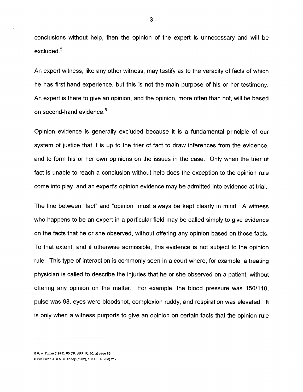conclusions without help, then the opinion of the expert is unnecessary and will be excluded. $5$ 

An expert witness, like any other witness, may testify as to the veracity of facts of which he has first-hand experience, but this is not the main purpose of his or her testimony. An expert is there to give an opinion, and the opinion, more often than not, will be based on second-hand evidence.<sup>6</sup>

Opinion evidence is generally excluded because it is a fundamental principle of our system of justice that it is up to the trier of fact to draw inferences from the evidence, and to form his or her own opinions on the issues in the case. Only when the trier of fact is unable to reach a conclusion without help does the exception to the opinion rule come into play, and an expert's opinion evidence may be admitted into evidence at trial.

The line between "fact" and "opinion" must always be kept clearly in mind. A witness who happens to be an expert in a particular field may be called simply to give evidence on the facts that he or she observed, without offering any opinion based on those facts. To that extent, and if otherwise admissible, this evidence is not subject to the opinion rule. This type of interaction is commonly seen in a court where, for example, a treating physician is called to describe the injuries that he or she observed on a patient, without offering any opinion on the matter. For example, the blood pressure was 150/110, pulse was 98, eyes were bloodshot, complexion ruddy, and respiration was elevated. It is only when a witness purports to give an opinion on certain facts that the opinion rule

 $-3-$ 

<sup>5</sup> R. Turner(1974), 60 CR. APP. R. 80, at page 83

<sup>6</sup> Per Dixon J. in R. v. Abbey (1982), 138 D.L.R. (3d) 217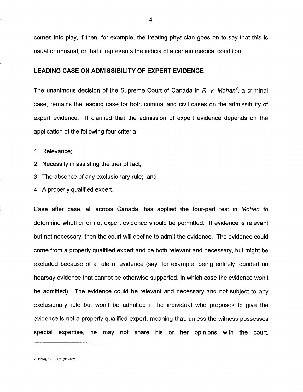comes into play, if then, for example, the treating physician goes on to say that this is usual or unusual, or that it represents the indicia of a certain medical condition.

### LEADING CASE ON ADMISSIBILITY OF EXPERT EVIDENCE

The unanimous decision of the Supreme Court of Canada in R. v. Mohan<sup>7</sup>, a criminal case, remains the leading case for both criminal and civil cases on the admissibility of expert evidence. It clarified that the admission of expert evidence depends on the application of the following four criteria:

1. Relevance;

- 2. Necessity in assisting the trier of fact;
- 3. The absence of any exclusionary rule; and
- 4. A properly qualified expert.

Case after case, all across Canada, has applied the four-part test in Mohan to determine whether or not expert evidence should be permitted. If evidence is relevant but not necessary, then the court will decline to admit the evidence. The evidence could come from a properly qualified expert and be both relevant and necessary, but might be excluded because of a rule of evidence (say, for example, being entirely founded on hearsay evidence that cannot be otherwise supported, in which case the evidence won't be admitted). The evidence could be relevant and necessary and not subject to any exclusionary rule but won't be admitted if the individual who proposes to give the evidence is not a properly qualified expert, meaning that, unless the witness possesses special expertise, he may not share his or her opinions with the court.

7 (1994), 89 C.C.C. (3d) 402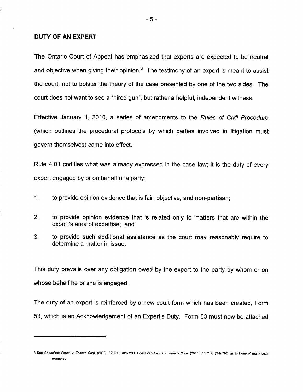### DUTY OF AN EXPERT

The Ontario Court of Appeal has emphasized that experts are expected to be neutral and objective when giving their opinion. $<sup>8</sup>$  The testimony of an expert is meant to assist</sup> the court, not to bolster the theory of the case presented by one of the two sides. The court does not want to see a "hired gun", but rather a helpful, independent witness.

Effective January 1, 2010, a series of amendments to the Rules of Civil Procedure (which outlines the procedural protocols by which parties involved in litigation must govern themselves) came into effect.

Rule 4.01 codifies what was already expressed in the case law; it is the duty of every expert engaged by or on behalf of a party:

- 1. to provide opinion evidence that is fair, objective, and non-partisan;
- $2.$ to provide opinion evidence that is related only to matters that are within the expert's area of expertise; and
- 3. to provide such additional assistance as the court may reasonably require to determine a matter in issue.

This duty prevails over any obligation owed by the expert to the party by whom or on whose behalf he or she is engaged.

The duty of an expert is reinforced by a new court form which has been created, Form 53, which is an Acknowledgement of an Expert's Duty. Form 53 must now be attached

<sup>8</sup> See Conceicao Farms v. Zeneca Corp. (2006), 82 O.R. (3d) 299; Conceicao Farms v. Zeneca Corp. (2006), 83 O.R. (3d) 792, as just one of many such examples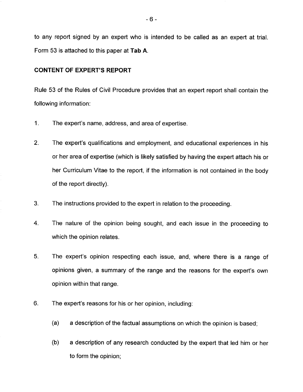to any report signed by an expert who is intended to be called as an expert at trial. Form 53 is attached to this paper at Tab A.

# CONTENT OF EXPERT'S REPORT

Rule 53 of the Rules of Civil Procedure provides that an expert report shall contain the following information:

- 1. The expert's name, address, and area of expertise.
- $2<sup>1</sup>$ The expert's qualifications and employment, and educational experiences in his or her area of expertise (which is likely satisfied by having the expert attach his or her Curriculum Vitae to the report, if the information is not contained in the body of the report directly).
- 3. The instructions provided to the expert in relation to the proceeding.
- The nature of the opinion being sought, and each issue in the proceeding to 4. which the opinion relates.
- $5<sub>1</sub>$ The expert's opinion respecting each issue, and, where there is a range of opinions given, a summary of the range and the reasons for the expert's own opinion within that range.
- 6. The expert's reasons for his or her opinion, including:
	- (a) a description of the factual assumptions on which the opinion is based;
	- (b) a description of any research conducted by the expert that led him or her to form the opinion;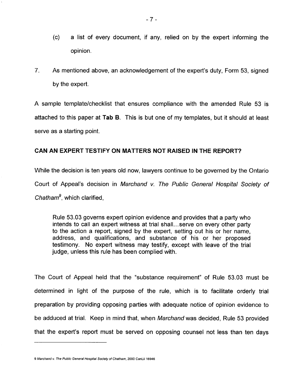- $\langle \circ \rangle$  a list of every document if any relied on by the expert informing the opinion.
- $7<sub>1</sub>$ As mentioned above, an acknowledgement of the expert's duty, Form 53, signed by the expert.

A sample template/checklist that ensures compliance with the amended Rule 53 is attached to this paper at Tab B. This is but one of my templates, but it should at least serve as a starting point.

# CAN AN EXPERT TESTIFY ON MATTERS NOT RAISED IN THE REPORT?

While the decision is ten years old now, lawyers continue to be governed by the Ontario Court of Appeal's decision in Marchand v. The Public General Hospital Society of Chatham $9$ , which clarified,

Rule 53.03 governs expert opinion evidence and provides that a party who intends to call an expert witness at trial shall.., serve on every other party to the action a report, signed by the expert, setting out his or her name, address, and qualifications, and substance of his or her proposed testimony. No expert witness may testify, except with leave of the trial judge, unless this rule has been complied with.

The Court of Appeal held that the "substance requirement" of Rule 53.03 must be determined in light of the purpose of the rule, which is to facilitate orderly trial preparation by providing opposing parties with adequate notice of opinion evidence to be adduced at trial. Keep in mind that, when Marchand was decided, Rule 53 provided that the expert's report must be served on opposing counsel not less than ten days

<sup>9</sup> Marchand v. The Public General Hospital Society of Chatham, 2000 CanLii 16946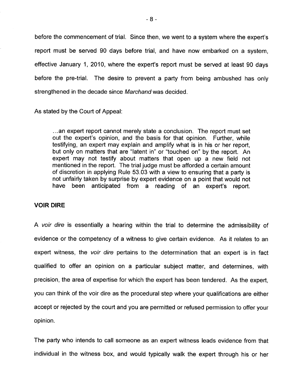before the commencement of trial. Since then, we went to a system where the expert's report must be served 90 days before trial, and have now embarked on a system, effective January 1, 2010, where the expert's report must be served at least 90 days before the pre-trial. The desire to prevent a party from being ambushed has only strengthened in the decade since Marchand was decided.

As stated by the Court of Appeal:

...an expert report cannot merely state a conclusion. The report must set out the expert's opinion, and the basis for that opinion. Further, while testifying, an expert may explain and amplify what is in his or her report, but only on matters that are "latent in" or "touched on" by the report. An expert may not testify about matters that open up a new field not mentioned in the report. The trial judge must be afforded a certain amount of discretion in applying Rule 53.03 with a view to ensuring that a party is not unfairly taken by surprise by expert evidence on a point that would not have been anticipated from a reading of an expert's report.

### VOIR DIRE

A voir dire is essentially a hearing within the trial to determine the admissibility of evidence or the competency of a witness to give certain evidence. As it relates to an expert witness, the voir dire pertains to the determination that an expert is in fact qualified to offer an opinion on a particular subject matter, and determines, with precision, the area of expertise for which the expert has been tendered. As the expert, you can think of the voir dire as the procedural step where your qualifications are either accept or rejected by the court and you are permitted or refused permission to offer your opinion.

The party who intends to call someone as an expert witness leads evidence from that individual in the witness box, and would typically walk the expert through his or her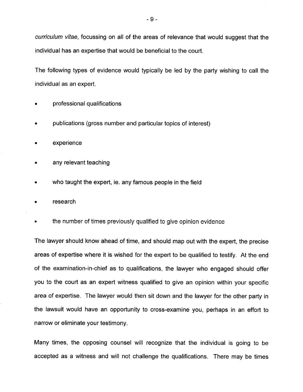curriculum vitae, focussing on all of the areas of relevance that would suggest that the individual has an expertise that would be beneficial to the court.

The following types of evidence would typically be led by the party wishing to call the individual as an expert.

- professional qualifications
- publications (gross number and particular topics of interest)
- experience
- any relevant teaching
- who taught the expert, ie. any famous people in the field
- research
- the number of times previously qualified to give opinion evidence

The lawyer should know ahead of time, and should map out with the expert, the precise areas of expertise where it is wished for the expert to be qualified to testify. At the end of the examination-in-chief as to qualifications, the lawyer who engaged should offer you to the court as an expert witness qualified to give an opinion within your specific area of expertise. The lawyer would then sit down and the lawyer for the other party in the lawsuit would have an opportunity to cross-examine you, perhaps in an effort to narrow or eliminate your testimony.

Many times, the opposing counsel will recognize that the individual is going to be accepted as a witness and will not challenge the qualifications. There may be times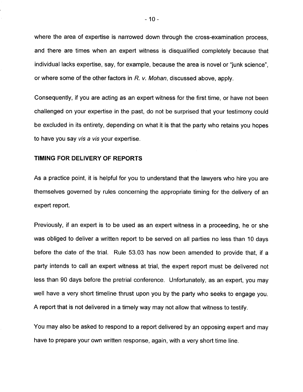where the area of expertise is narrowed down through the cross-examination process, and there are times when an expert witness is disqualified completely because that individual lacks expertise, say, for example, because the area is novel or "junk science", or where some of the other factors in  $R$ .  $v$ . Mohan, discussed above, apply.

Consequently, if you are acting as an expert witness for the first time, or have not been challenged on your expertise in the past, do not be surprised that your testimony could be excluded in its entirety, depending on what it is that the party who retains you hopes to have you say vis a vis your expertise.

## TIMING FOR DELIVERY OF REPORTS

As a practice point, it is helpful for you to understand that the lawyers who hire you are themselves governed by rules concerning the appropriate timing for the delivery of an expert report.

Previously, if an expert is to be used as an expert witness in a proceeding, he or she was obliged to deliver a written report to be served on all parties no less than 10 days before the date of the trial. Rule 53.03 has now been amended to provide that, if a party intends to call an expert witness at trial, the expert report must be delivered not less than 90 days before the pretrial conference. Unfortunately, as an expert, you may well have a very short timeline thrust upon you by the party who seeks to engage you. A report that is not delivered in a timely way may not allow that witness to testify.

You may also be asked to respond to a report delivered by an opposing expert and may have to prepare your own written response, again, with a very short time line.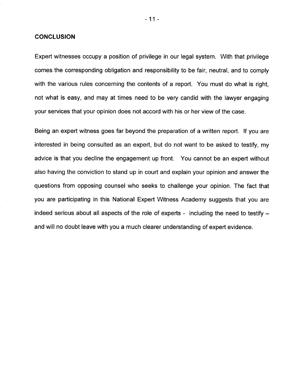### **CONCLUSION**

Expert witnesses occupy a position of privilege in our legal system. With that privilege comes the corresponding obligation and responsibility to be fair, neutral, and to comply with the various rules concerning the contents of a report. You must do what is right, not what is easy, and may at times need to be very candid with the lawyer engaging your services that your opinion does not accord with his or her view of the case.

Being an expert witness goes far beyond the preparation of a written report. If you are interested in being consulted as an expert, but do not want to be asked to testify, my advice is that you decline the engagement up front. You cannot be an expert without also having the conviction to stand up in court and explain your opinion and answer the questions from opposing counsel who seeks to challenge your opinion. The fact that you are participating in this National Expert Witness Academy suggests that you are indeed serious about all aspects of the role of experts - including the need to testify  $$ and will no doubt leave with you a much clearer understanding of expert evidence.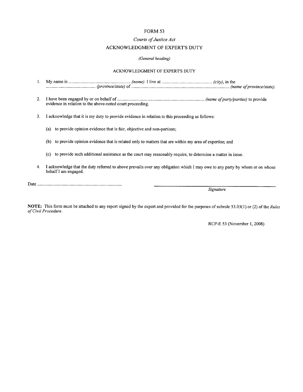#### FORM 53

#### Courts of Justice Act

#### ACKNOWLEDGMENT OF EXPERT'S DUTY

#### (General heading)

#### ACKNOWLEDGMENT OF EXPERT'S DUTY

- 1. My name is (name). live at (city), in the (province/state) of (name of province and province of province and province state).
- 2. have been engaged by or on behalf of (name of party to provide evidence in relation to the above-noted court proceeding.

3. I acknowledge that it is my duty to provide evidence in relation to this proceeding as follows:

(a) to provide opinion evidence that is fair, objective and non-partisan;

- (b) to provide opinion evidence that is related only to matters that are within my area of expertise; and
- (c) to provide such additional assistance as the court may reasonably require, to determine a matter in issue.
- 4. I acknowledge that the duty referred to above prevails over any obligation which I may owe to any party by whom or on whose behalf I am engaged.

Signature

NOTE: This form must be attached to any report signed by the expert and provided for the purposes of subrule 53.03(1) or (2) of the Rules of Civil Procedure.

RCP-E 53 (November 1, 2008)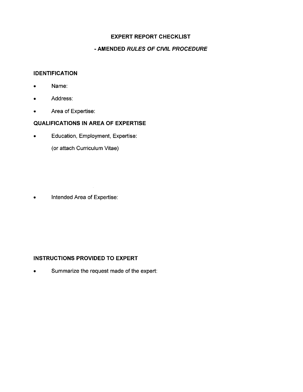# EXPERT REPORT CHECKLIST

# - AMENDED RULES OF CIVIL PROCEDURE

## IDENTIFICATION

- Name:
- Address:
- Area of Expertise:

# QUALIFICATIONS IN AREA OF EXPERTISE

• Education, Employment, Expertise:

(or attach Curriculum Vitae)

Intended Area of Expertise:  $\bullet$ 

# INSTRUCTIONS PROVIDED TO EXPERT

• Summarize the request made of the expert: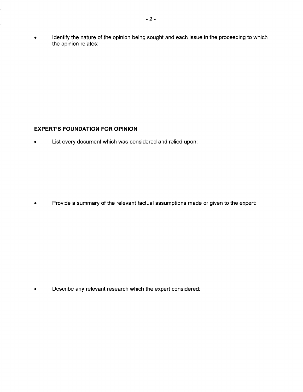Identify the nature of the opinion being sought and each issue in the proceeding to which  $\bullet$ the opinion relates:

# EXPERT'S FOUNDATION FOR OPINION

• List every document which was considered and relied upon:

Provide a summary of the relevant factual assumptions made or given to the expert:  $\bullet$ 

• Describe any relevant research which the expert considered: